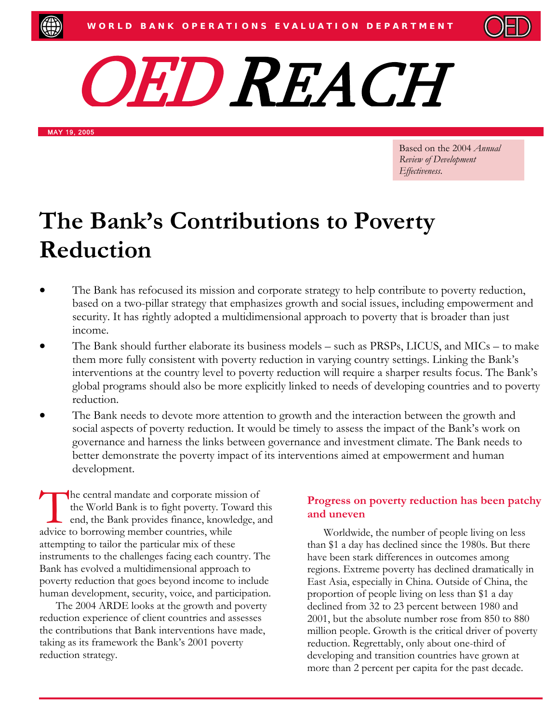



MAY 19, 2005

Based on the 2004 *Annual Review of Development Effectiveness*.

# **The Bank's Contributions to Poverty Reduction**

- The Bank has refocused its mission and corporate strategy to help contribute to poverty reduction, based on a two-pillar strategy that emphasizes growth and social issues, including empowerment and security. It has rightly adopted a multidimensional approach to poverty that is broader than just income.
- The Bank should further elaborate its business models such as PRSPs, LICUS, and MICs to make them more fully consistent with poverty reduction in varying country settings. Linking the Bank's interventions at the country level to poverty reduction will require a sharper results focus. The Bank's global programs should also be more explicitly linked to needs of developing countries and to poverty reduction.
- The Bank needs to devote more attention to growth and the interaction between the growth and social aspects of poverty reduction. It would be timely to assess the impact of the Bank's work on governance and harness the links between governance and investment climate. The Bank needs to better demonstrate the poverty impact of its interventions aimed at empowerment and human development.

he central mandate and corporate mission of the World Bank is to fight poverty. Toward this end, the Bank provides finance, knowledge, and The central mandate and corporate missi-<br>the World Bank is to fight poverty. To<br>end, the Bank provides finance, knowle<br>advice to borrowing member countries, while attempting to tailor the particular mix of these instruments to the challenges facing each country. The Bank has evolved a multidimensional approach to poverty reduction that goes beyond income to include human development, security, voice, and participation.

The 2004 ARDE looks at the growth and poverty reduction experience of client countries and assesses the contributions that Bank interventions have made, taking as its framework the Bank's 2001 poverty reduction strategy.

#### **Progress on poverty reduction has been patchy and uneven**

Worldwide, the number of people living on less than \$1 a day has declined since the 1980s. But there have been stark differences in outcomes among regions. Extreme poverty has declined dramatically in East Asia, especially in China. Outside of China, the proportion of people living on less than \$1 a day declined from 32 to 23 percent between 1980 and 2001, but the absolute number rose from 850 to 880 million people. Growth is the critical driver of poverty reduction. Regrettably, only about one-third of developing and transition countries have grown at more than 2 percent per capita for the past decade.